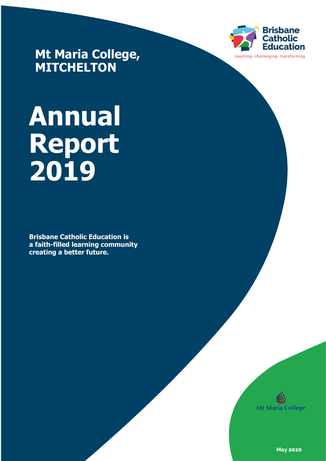

**Mt Maria College, MITCHELTON**

# **Annual Report 2019**

**Brisbane Catholic Education is a faith-filled learning community creating a better future.** 



**May 2020**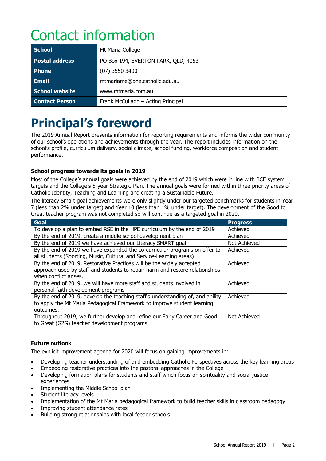# Contact information

| <b>School</b>         | Mt Maria College                    |
|-----------------------|-------------------------------------|
| <b>Postal address</b> | PO Box 194, EVERTON PARK, QLD, 4053 |
| <b>Phone</b>          | $(07)$ 3550 3400                    |
| <b>Email</b>          | mtmariame@bne.catholic.edu.au       |
| School website        | www.mtmaria.com.au                  |
| <b>Contact Person</b> | Frank McCullagh - Acting Principal  |

# **Principal's foreword**

The 2019 Annual Report presents information for reporting requirements and informs the wider community of our school's operations and achievements through the year. The report includes information on the school's profile, curriculum delivery, social climate, school funding, workforce composition and student performance.

# **School progress towards its goals in 2019**

Most of the College's annual goals were achieved by the end of 2019 which were in line with BCE system targets and the College's 5-year Strategic Plan. The annual goals were formed within three priority areas of Catholic Identity, Teaching and Learning and creating a Sustainable Future.

The literacy Smart goal achievements were only slightly under our targeted benchmarks for students in Year 7 (less than 2% under target) and Year 10 (less than 1% under target). The development of the Good to Great teacher program was not completed so will continue as a targeted goal in 2020.

| <b>Goal</b>                                                                    | <b>Progress</b> |
|--------------------------------------------------------------------------------|-----------------|
| To develop a plan to embed RSE in the HPE curriculum by the end of 2019        | Achieved        |
| By the end of 2019, create a middle school development plan                    | Achieved        |
| By the end of 2019 we have achieved our Literacy SMART goal                    | Not Achieved    |
| By the end of 2019 we have expanded the co-curricular programs on offer to     | Achieved        |
| all students (Sporting, Music, Cultural and Service-Learning areas)            |                 |
| By the end of 2019, Restorative Practices will be the widely accepted          | Achieved        |
| approach used by staff and students to repair harm and restore relationships   |                 |
| when conflict arises.                                                          |                 |
| By the end of 2019, we will have more staff and students involved in           | Achieved        |
| personal faith development programs                                            |                 |
| By the end of 2019, develop the teaching staff's understanding of, and ability | Achieved        |
| to apply the Mt Maria Pedagogical Framework to improve student learning        |                 |
| outcomes.                                                                      |                 |
| Throughout 2019, we further develop and refine our Early Career and Good       | Not Achieved    |
| to Great (G2G) teacher development programs                                    |                 |

# **Future outlook**

The explicit improvement agenda for 2020 will focus on gaining improvements in:

- Developing teacher understanding of and embedding Catholic Perspectives across the key learning areas
- Embedding restorative practices into the pastoral approaches in the College
- Developing formation plans for students and staff which focus on spirituality and social justice experiences
- Implementing the Middle School plan
- Student literacy levels
- Implementation of the Mt Maria pedagogical framework to build teacher skills in classroom pedagogy
- Improving student attendance rates
- Building strong relationships with local feeder schools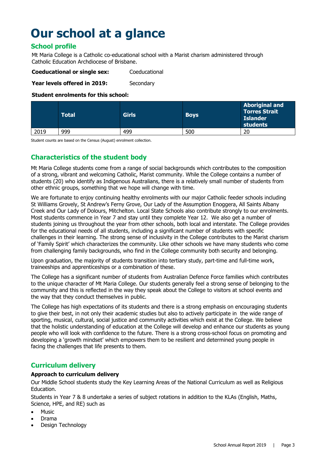# **Our school at a glance**

# **School profile**

Mt Maria College is a Catholic co-educational school with a Marist charism administered through Catholic Education Archdiocese of Brisbane.

**Coeducational or single sex:** Coeducational

**Year levels offered in 2019:** Secondary

### **Student enrolments for this school:**

|      | <b>Total</b> | <b>Girls</b> | <b>Boys</b> | <b>Aboriginal and</b><br><b>Torres Strait</b><br><b>Islander</b><br>students |
|------|--------------|--------------|-------------|------------------------------------------------------------------------------|
| 2019 | 999          | 499          | 500         | 20                                                                           |

Student counts are based on the Census (August) enrolment collection.

# **Characteristics of the student body**

Mt Maria College students come from a range of social backgrounds which contributes to the composition of a strong, vibrant and welcoming Catholic, Marist community. While the College contains a number of students (20) who identify as Indigenous Australians, there is a relatively small number of students from other ethnic groups, something that we hope will change with time.

We are fortunate to enjoy continuing healthy enrolments with our major Catholic feeder schools including St Williams Grovely, St Andrew's Ferny Grove, Our Lady of the Assumption Enoggera, All Saints Albany Creek and Our Lady of Dolours, Mitchelton. Local State Schools also contribute strongly to our enrolments. Most students commence in Year 7 and stay until they complete Year 12. We also get a number of students joining us throughout the year from other schools, both local and interstate. The College provides for the educational needs of all students, including a significant number of students with specific challenges in their learning. The strong sense of inclusivity in the College contributes to the Marist charism of 'Family Spirit' which characterizes the community. Like other schools we have many students who come from challenging family backgrounds, who find in the College community both security and belonging.

Upon graduation, the majority of students transition into tertiary study, part-time and full-time work, traineeships and apprenticeships or a combination of these.

The College has a significant number of students from Australian Defence Force families which contributes to the unique character of Mt Maria College. Our students generally feel a strong sense of belonging to the community and this is reflected in the way they speak about the College to visitors at school events and the way that they conduct themselves in public.

The College has high expectations of its students and there is a strong emphasis on encouraging students to give their best, in not only their academic studies but also to actively participate in the wide range of sporting, musical, cultural, social justice and community activities which exist at the College. We believe that the holistic understanding of education at the College will develop and enhance our students as young people who will look with confidence to the future. There is a strong cross-school focus on promoting and developing a 'growth mindset' which empowers them to be resilient and determined young people in facing the challenges that life presents to them.

# **Curriculum delivery**

# **Approach to curriculum delivery**

Our Middle School students study the Key Learning Areas of the National Curriculum as well as Religious Education.

Students in Year 7 & 8 undertake a series of subject rotations in addition to the KLAs (English, Maths, Science, HPE, and RE) such as

- Music
- Drama
- Design Technology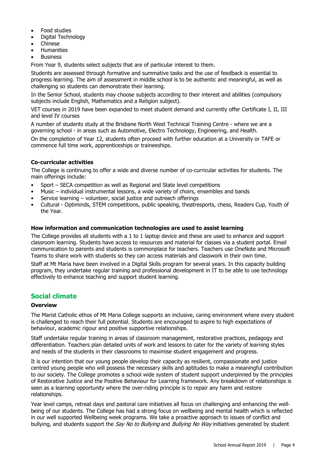- Food studies
- Digital Technology
- Chinese
- **Humanities**
- **Business**

From Year 9, students select subjects that are of particular interest to them.

Students are assessed through formative and summative tasks and the use of feedback is essential to progress learning. The aim of assessment in middle school is to be authentic and meaningful, as well as challenging so students can demonstrate their learning.

In the Senior School, students may choose subjects according to their interest and abilities (compulsory subjects include English, Mathematics and a Religion subject).

VET courses in 2019 have been expanded to meet student demand and currently offer Certificate I, II, III and level IV courses

A number of students study at the Brisbane North West Technical Training Centre - where we are a governing school - in areas such as Automotive, Electro Technology, Engineering, and Health.

On the completion of Year 12, students often proceed with further education at a University or TAFE or commence full time work, apprenticeships or traineeships.

# **Co-curricular activities**

The College is continuing to offer a wide and diverse number of co-curricular activities for students. The main offerings include:

- Sport SECA competition as well as Regional and State level competitions
- Music individual instrumental lessons, a wide variety of choirs, ensembles and bands
- Service learning volunteer, social justice and outreach offerings
- Cultural Optiminds, STEM competitions, public speaking, theatresports, chess, Readers Cup, Youth of the Year.

#### **How information and communication technologies are used to assist learning**

The College provides all students with a 1 to 1 laptop device and these are used to enhance and support classroom learning. Students have access to resources and material for classes via a student portal. Email communication to parents and students is commonplace for teachers. Teachers use OneNote and Microsoft Teams to share work with students so they can access materials and classwork in their own time.

Staff at Mt Maria have been involved in a Digital Skills program for several years. In this capacity building program, they undertake regular training and professional development in IT to be able to use technology effectively to enhance teaching and support student learning.

# **Social climate**

#### **Overview**

The Marist Catholic ethos of Mt Maria College supports an inclusive, caring environment where every student is challenged to reach their full potential. Students are encouraged to aspire to high expectations of behaviour, academic rigour and positive supportive relationships.

Staff undertake regular training in areas of classroom management, restorative practices, pedagogy and differentiation. Teachers plan detailed units of work and lessons to cater for the variety of learning styles and needs of the students in their classrooms to maximise student engagement and progress.

It is our intention that our young people develop their capacity as resilient, compassionate and justice centred young people who will possess the necessary skills and aptitudes to make a meaningful contribution to our society. The College promotes a school wide system of student support underpinned by the principles of Restorative Justice and the Positive Behaviour for Learning framework. Any breakdown of relationships is seen as a learning opportunity where the over-riding principle is to repair any harm and restore relationships.

Year level camps, retreat days and pastoral care initiatives all focus on challenging and enhancing the wellbeing of our students. The College has had a strong focus on wellbeing and mental health which is reflected in our well supported Wellbeing week programs. We take a proactive approach to issues of conflict and bullying, and students support the *Say No to Bullying* and *Bullying No Way* initiatives generated by student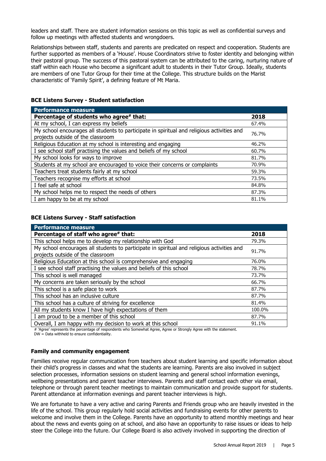leaders and staff. There are student information sessions on this topic as well as confidential surveys and follow up meetings with affected students and wrongdoers.

Relationships between staff, students and parents are predicated on respect and cooperation. Students are further supported as members of a 'House'. House Coordinators strive to foster identity and belonging within their pastoral group. The success of this pastoral system can be attributed to the caring, nurturing nature of staff within each House who become a significant adult to students in their Tutor Group. Ideally, students are members of one Tutor Group for their time at the College. This structure builds on the Marist characteristic of 'Family Spirit', a defining feature of Mt Maria.

|  | <b>BCE Listens Survey - Student satisfaction</b> |
|--|--------------------------------------------------|
|--|--------------------------------------------------|

| Performance measure                                                                                                             |       |
|---------------------------------------------------------------------------------------------------------------------------------|-------|
| Percentage of students who agree# that:                                                                                         | 2018  |
| At my school, I can express my beliefs                                                                                          | 67.4% |
| My school encourages all students to participate in spiritual and religious activities and<br>projects outside of the classroom | 76.7% |
| Religious Education at my school is interesting and engaging                                                                    | 46.2% |
| I see school staff practising the values and beliefs of my school                                                               | 60.7% |
| My school looks for ways to improve                                                                                             | 81.7% |
| Students at my school are encouraged to voice their concerns or complaints                                                      | 70.9% |
| Teachers treat students fairly at my school                                                                                     | 59.3% |
| Teachers recognise my efforts at school                                                                                         | 73.5% |
| I feel safe at school                                                                                                           | 84.8% |
| My school helps me to respect the needs of others                                                                               | 87.3% |
| I am happy to be at my school                                                                                                   | 81.1% |

#### **BCE Listens Survey - Staff satisfaction**

| <b>Performance measure</b>                                                                 |        |
|--------------------------------------------------------------------------------------------|--------|
| Percentage of staff who agree# that:                                                       | 2018   |
| This school helps me to develop my relationship with God                                   | 79.3%  |
| My school encourages all students to participate in spiritual and religious activities and | 91.7%  |
| projects outside of the classroom                                                          |        |
| Religious Education at this school is comprehensive and engaging                           | 76.0%  |
| I see school staff practising the values and beliefs of this school                        | 78.7%  |
| This school is well managed                                                                | 73.7%  |
| My concerns are taken seriously by the school                                              | 66.7%  |
| This school is a safe place to work                                                        | 87.7%  |
| This school has an inclusive culture                                                       | 87.7%  |
| This school has a culture of striving for excellence                                       | 81.4%  |
| All my students know I have high expectations of them                                      | 100.0% |
| I am proud to be a member of this school                                                   | 87.7%  |
| Overall, I am happy with my decision to work at this school                                | 91.1%  |

# 'Agree' represents the percentage of respondents who Somewhat Agree, Agree or Strongly Agree with the statement.

DW = Data withheld to ensure confidentiality.

# **Family and community engagement**

Families receive regular communication from teachers about student learning and specific information about their child's progress in classes and what the students are learning. Parents are also involved in subject selection processes, information sessions on student learning and general school information evenings, wellbeing presentations and parent teacher interviews. Parents and staff contact each other via email, telephone or through parent teacher meetings to maintain communication and provide support for students. Parent attendance at information evenings and parent teacher interviews is high.

We are fortunate to have a very active and caring Parents and Friends group who are heavily invested in the life of the school. This group regularly hold social activities and fundraising events for other parents to welcome and involve them in the College. Parents have an opportunity to attend monthly meetings and hear about the news and events going on at school, and also have an opportunity to raise issues or ideas to help steer the College into the future. Our College Board is also actively involved in supporting the direction of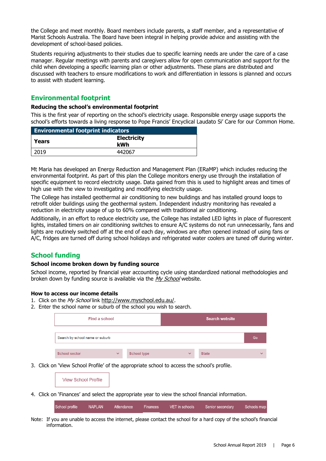the College and meet monthly. Board members include parents, a staff member, and a representative of Marist Schools Australia. The Board have been integral in helping provide advice and assisting with the development of school-based policies.

Students requiring adjustments to their studies due to specific learning needs are under the care of a case manager. Regular meetings with parents and caregivers allow for open communication and support for the child when developing a specific learning plan or other adjustments. These plans are distributed and discussed with teachers to ensure modifications to work and differentiation in lessons is planned and occurs to assist with student learning.

# **Environmental footprint**

### **Reducing the school's environmental footprint**

This is the first year of reporting on the school's electricity usage. Responsible energy usage supports the school's efforts towards a living response to Pope Francis' Encyclical Laudato Si' Care for our Common Home.

| <b>Environmental footprint indicators</b> |        |
|-------------------------------------------|--------|
| <b>Electricity</b><br>Years<br>kWh        |        |
| 2019                                      | 442067 |

Mt Maria has developed an Energy Reduction and Management Plan (ERaMP) which includes reducing the environmental footprint. As part of this plan the College monitors energy use through the installation of specific equipment to record electricity usage. Data gained from this is used to highlight areas and times of high use with the view to investigating and modifying electricity usage.

The College has installed geothermal air conditioning to new buildings and has installed ground loops to retrofit older buildings using the geothermal system. Independent industry monitoring has revealed a reduction in electricity usage of up to 60% compared with traditional air conditioning.

Additionally, in an effort to reduce electricity use, the College has installed LED lights in place of fluorescent lights, installed timers on air conditioning switches to ensure A/C systems do not run unnecessarily, fans and lights are routinely switched off at the end of each day, windows are often opened instead of using fans or A/C, fridges are turned off during school holidays and refrigerated water coolers are tuned off during winter.

# **School funding**

#### **School income broken down by funding source**

School income, reported by financial year accounting cycle using standardized national methodologies and broken down by funding source is available via the [My School](http://www.myschool.edu.au/) website.

#### **How to access our income details**

- 1. Click on the My School link [http://www.myschool.edu.au/.](http://www.myschool.edu.au/)
- 2. Enter the school name or suburb of the school you wish to search.

| Find a school                   |              |                    | <b>Search website</b> |              |              |
|---------------------------------|--------------|--------------------|-----------------------|--------------|--------------|
| Search by school name or suburb |              |                    |                       |              | Go           |
| <b>School sector</b>            | $\checkmark$ | <b>School type</b> | $\checkmark$          | <b>State</b> | $\checkmark$ |

3. Click on 'View School Profile' of the appropriate school to access the school's profile.

| <b>View School Profile</b> |  |
|----------------------------|--|
|                            |  |

4. Click on 'Finances' and select the appropriate year to view the school financial information.

**NAPLAN** School profile Attendance VFT in schools Schools map Finances Senior secondary

Note: If you are unable to access the internet, please contact the school for a hard copy of the school's financial information.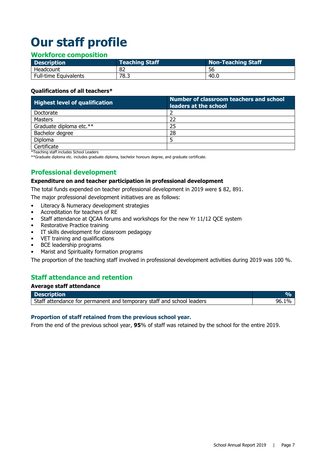# **Our staff profile**

# **Workforce composition**

| <b>Description</b>           | <b>Teaching Staff</b> | Non-Teaching Staff |
|------------------------------|-----------------------|--------------------|
| Headcount                    | 82                    | 56                 |
| <b>Full-time Equivalents</b> | 78.3                  | 40.C               |

# **Qualifications of all teachers\***

| <b>Highest level of qualification</b> | Number of classroom teachers and school<br>leaders at the school |  |
|---------------------------------------|------------------------------------------------------------------|--|
| Doctorate                             |                                                                  |  |
| Masters                               | 22                                                               |  |
| Graduate diploma etc.**               | 25                                                               |  |
| Bachelor degree                       | 28                                                               |  |
| Diploma                               |                                                                  |  |
| Certificate                           |                                                                  |  |

\*Teaching staff includes School Leaders

\*\*Graduate diploma etc. includes graduate diploma, bachelor honours degree, and graduate certificate.

# **Professional development**

#### **Expenditure on and teacher participation in professional development**

The total funds expended on teacher professional development in 2019 were \$ 82, 891.

The major professional development initiatives are as follows:

- Literacy & Numeracy development strategies
- Accreditation for teachers of RE
- Staff attendance at QCAA forums and workshops for the new Yr 11/12 QCE system
- Restorative Practice training
- IT skills development for classroom pedagogy
- VET training and qualifications<br>• BCE leadership programs
- BCE leadership programs
- Marist and Spirituality formation programs

The proportion of the teaching staff involved in professional development activities during 2019 was 100 %.

# **Staff attendance and retention**

#### **Average staff attendance**

| <b>Description</b>                                                    |  |
|-----------------------------------------------------------------------|--|
| Staff attendance for permanent and temporary staff and school leaders |  |

#### **Proportion of staff retained from the previous school year.**

From the end of the previous school year, **95**% of staff was retained by the school for the entire 2019.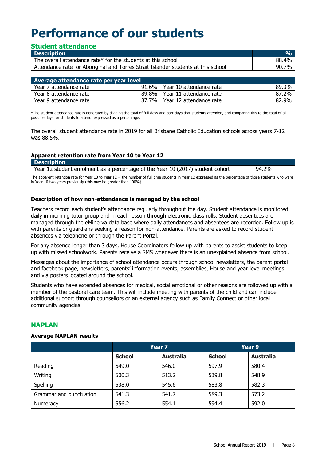# **Performance of our students**

# **Student attendance**

| <b>Description</b>                                                                | 0/2   |
|-----------------------------------------------------------------------------------|-------|
| The overall attendance rate* for the students at this school                      | 88.4% |
| Attendance rate for Aboriginal and Torres Strait Islander students at this school | 90.7% |

| Average attendance rate per year level |         |                                 |       |
|----------------------------------------|---------|---------------------------------|-------|
| Year 7 attendance rate                 |         | 91.6%   Year 10 attendance rate | 89.3% |
| Year 8 attendance rate                 |         | 89.8%   Year 11 attendance rate | 87.2% |
| Year 9 attendance rate                 | 87.7% l | Year 12 attendance rate         | 82.9% |

\*The student attendance rate is generated by dividing the total of full-days and part-days that students attended, and comparing this to the total of all possible days for students to attend, expressed as a percentage.

The overall student attendance rate in 2019 for all Brisbane Catholic Education schools across years 7-12 was 88.5%.

#### **Apparent retention rate from Year 10 to Year 12 Description**

| <b>PUSSIPSOI</b>                                                               |       |
|--------------------------------------------------------------------------------|-------|
| Year 12 student enrolment as a percentage of the Year 10 (2017) student cohort | 94.2% |
|                                                                                |       |

The apparent retention rate for Year 10 to Year 12 = the number of full time students in Year 12 expressed as the percentage of those students who were in Year 10 two years previously (this may be greater than 100%).

# **Description of how non-attendance is managed by the school**

Teachers record each student's attendance regularly throughout the day. Student attendance is monitored daily in morning tutor group and in each lesson through electronic class rolls. Student absentees are managed through the eMinerva data base where daily attendances and absentees are recorded. Follow up is with parents or guardians seeking a reason for non-attendance. Parents are asked to record student absences via telephone or through the Parent Portal.

For any absence longer than 3 days, House Coordinators follow up with parents to assist students to keep up with missed schoolwork. Parents receive a SMS whenever there is an unexplained absence from school.

Messages about the importance of school attendance occurs through school newsletters, the parent portal and facebook page, newsletters, parents' information events, assemblies, House and year level meetings and via posters located around the school.

Students who have extended absences for medical, social emotional or other reasons are followed up with a member of the pastoral care team. This will include meeting with parents of the child and can include additional support through counsellors or an external agency such as Family Connect or other local community agencies.

# **NAPLAN**

#### **Average NAPLAN results**

|                         | Year 7        |                  | Year 9        |                  |
|-------------------------|---------------|------------------|---------------|------------------|
|                         | <b>School</b> | <b>Australia</b> | <b>School</b> | <b>Australia</b> |
| Reading                 | 549.0         | 546.0            | 597.9         | 580.4            |
| Writing                 | 500.3         | 513.2            | 539.8         | 548.9            |
| Spelling                | 538.0         | 545.6            | 583.8         | 582.3            |
| Grammar and punctuation | 541.3         | 541.7            | 589.3         | 573.2            |
| Numeracy                | 556.2         | 554.1            | 594.4         | 592.0            |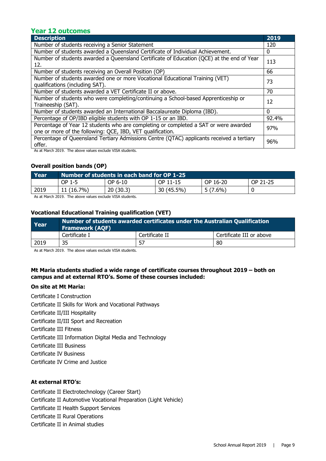# **Year 12 outcomes**

| <b>Description</b>                                                                                                                                                                                                                                                                                                                                                                                                 | 2019  |
|--------------------------------------------------------------------------------------------------------------------------------------------------------------------------------------------------------------------------------------------------------------------------------------------------------------------------------------------------------------------------------------------------------------------|-------|
| Number of students receiving a Senior Statement                                                                                                                                                                                                                                                                                                                                                                    | 120   |
| Number of students awarded a Queensland Certificate of Individual Achievement.                                                                                                                                                                                                                                                                                                                                     | 0     |
| Number of students awarded a Queensland Certificate of Education (QCE) at the end of Year<br>12.                                                                                                                                                                                                                                                                                                                   | 113   |
| Number of students receiving an Overall Position (OP)                                                                                                                                                                                                                                                                                                                                                              | 66    |
| Number of students awarded one or more Vocational Educational Training (VET)<br>qualifications (including SAT).                                                                                                                                                                                                                                                                                                    | 73    |
| Number of students awarded a VET Certificate II or above.                                                                                                                                                                                                                                                                                                                                                          | 70    |
| Number of students who were completing/continuing a School-based Apprenticeship or<br>Traineeship (SAT).                                                                                                                                                                                                                                                                                                           | 12    |
| Number of students awarded an International Baccalaureate Diploma (IBD).                                                                                                                                                                                                                                                                                                                                           | 0     |
| Percentage of OP/IBD eligible students with OP 1-15 or an IBD.                                                                                                                                                                                                                                                                                                                                                     | 92.4% |
| Percentage of Year 12 students who are completing or completed a SAT or were awarded<br>one or more of the following: QCE, IBD, VET qualification.                                                                                                                                                                                                                                                                 | 97%   |
| Percentage of Queensland Tertiary Admissions Centre (QTAC) applicants received a tertiary<br>offer.<br>$\mathbf{a}$ , $\mathbf{a}$ , $\mathbf{b}$ , $\mathbf{c}$ , $\mathbf{c}$ , $\mathbf{c}$ , $\mathbf{c}$ , $\mathbf{c}$ , $\mathbf{c}$ , $\mathbf{c}$ , $\mathbf{c}$ , $\mathbf{c}$ , $\mathbf{c}$ , $\mathbf{c}$ , $\mathbf{c}$ , $\mathbf{c}$ , $\mathbf{c}$ , $\mathbf{c}$ , $\mathbf{c}$ , $\mathbf{c}$ , | 96%   |

As at March 2019. The above values exclude VISA students.

#### **Overall position bands (OP)**

| Year | Number of students in each band for OP 1-25 |          |            |            |          |
|------|---------------------------------------------|----------|------------|------------|----------|
|      | OP 1-5                                      | OP 6-10  | OP 11-15   | OP 16-20   | OP 21-25 |
| 2019 | 11 (16.7%)                                  | 20(30.3) | 30 (45.5%) | $5(7.6\%)$ |          |

As at March 2019. The above values exclude VISA students.

# **Vocational Educational Training qualification (VET)**

| Year | Number of students awarded certificates under the Australian Qualification<br><b>Framework (AQF)</b> |                |                          |  |
|------|------------------------------------------------------------------------------------------------------|----------------|--------------------------|--|
|      | Certificate I                                                                                        | Certificate II | Certificate III or above |  |
| 2019 | 35                                                                                                   |                | 80                       |  |

As at March 2019. The above values exclude VISA students.

# **Mt Maria students studied a wide range of certificate courses throughout 2019 – both on campus and at external RTO's. Some of these courses included:**

#### **On site at Mt Maria:**

Certificate I Construction Certificate II Skills for Work and Vocational Pathways Certificate II/III Hospitality Certificate II/III Sport and Recreation Certificate III Fitness Certificate III Information Digital Media and Technology Certificate III Business Certificate IV Business Certificate IV Crime and Justice

# **At external RTO's:**

Certificate II Electrotechnology (Career Start) Certificate II Automotive Vocational Preparation (Light Vehicle) Certificate II Health Support Services Certificate II Rural Operations Certificate II in Animal studies